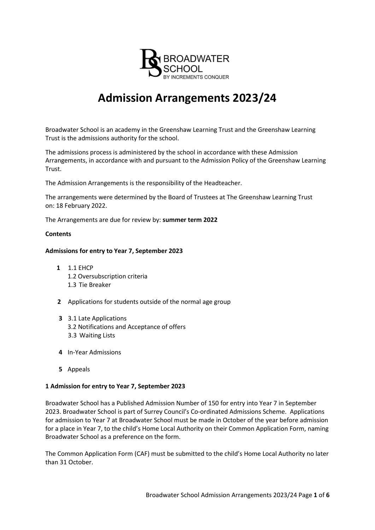

# **Admission Arrangements 2023/24**

Broadwater School is an academy in the Greenshaw Learning Trust and the Greenshaw Learning Trust is the admissions authority for the school.

The admissions process is administered by the school in accordance with these Admission Arrangements, in accordance with and pursuant to the Admission Policy of the Greenshaw Learning Trust.

The Admission Arrangements is the responsibility of the Headteacher.

The arrangements were determined by the Board of Trustees at The Greenshaw Learning Trust on: 18 February 2022.

The Arrangements are due for review by: **summer term 2022**

#### **Contents**

## **Admissions for entry to Year 7, September 2023**

- **1** 1.1 EHCP 1.2 Oversubscription criteria 1.3 Tie Breaker
- **2** Applications for students outside of the normal age group
- **3** 3.1 Late Applications 3.2 Notifications and Acceptance of offers 3.3 Waiting Lists
- **4** In-Year Admissions
- **5** Appeals

#### **1 Admission for entry to Year 7, September 2023**

Broadwater School has a Published Admission Number of 150 for entry into Year 7 in September 2023. Broadwater School is part of Surrey Council's Co-ordinated Admissions Scheme. Applications for admission to Year 7 at Broadwater School must be made in October of the year before admission for a place in Year 7, to the child's Home Local Authority on their Common Application Form, naming Broadwater School as a preference on the form.

The Common Application Form (CAF) must be submitted to the child's Home Local Authority no later than 31 October.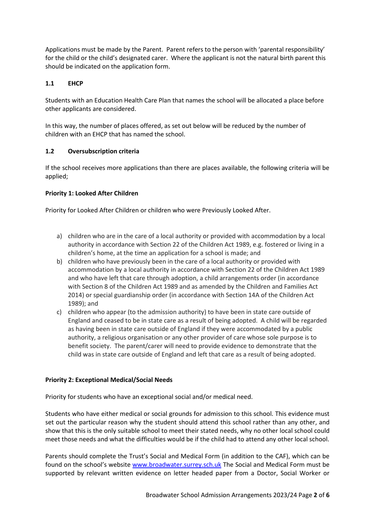Applications must be made by the Parent. Parent refers to the person with 'parental responsibility' for the child or the child's designated carer. Where the applicant is not the natural birth parent this should be indicated on the application form.

# **1.1 EHCP**

Students with an Education Health Care Plan that names the school will be allocated a place before other applicants are considered.

In this way, the number of places offered, as set out below will be reduced by the number of children with an EHCP that has named the school.

# **1.2 Oversubscription criteria**

If the school receives more applications than there are places available, the following criteria will be applied;

# **Priority 1: Looked After Children**

Priority for Looked After Children or children who were Previously Looked After.

- a) children who are in the care of a local authority or provided with accommodation by a local authority in accordance with Section 22 of the Children Act 1989, e.g. fostered or living in a children's home, at the time an application for a school is made; and
- b) children who have previously been in the care of a local authority or provided with accommodation by a local authority in accordance with Section 22 of the Children Act 1989 and who have left that care through adoption, a child arrangements order (in accordance with Section 8 of the Children Act 1989 and as amended by the Children and Families Act 2014) or special guardianship order (in accordance with Section 14A of the Children Act 1989); and
- c) children who appear (to the admission authority) to have been in state care outside of England and ceased to be in state care as a result of being adopted. A child will be regarded as having been in state care outside of England if they were accommodated by a public authority, a religious organisation or any other provider of care whose sole purpose is to benefit society. The parent/carer will need to provide evidence to demonstrate that the child was in state care outside of England and left that care as a result of being adopted.

#### **Priority 2: Exceptional Medical/Social Needs**

Priority for students who have an exceptional social and/or medical need.

Students who have either medical or social grounds for admission to this school. This evidence must set out the particular reason why the student should attend this school rather than any other, and show that this is the only suitable school to meet their stated needs, why no other local school could meet those needs and what the difficulties would be if the child had to attend any other local school.

Parents should complete the Trust's Social and Medical Form (in addition to the CAF), which can be found on the school's website [www.broadwater.surrey.sch.uk](http://www.broadwater.surrey.sch.uk/) The Social and Medical Form must be supported by relevant written evidence on letter headed paper from a Doctor, Social Worker or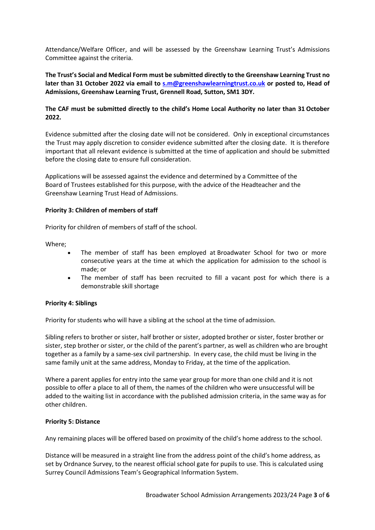Attendance/Welfare Officer, and will be assessed by the Greenshaw Learning Trust's Admissions Committee against the criteria.

**The Trust's Social and Medical Form must be submitted directly to the Greenshaw Learning Trust no later than 31 October 2022 via email to [s.m@greenshawlearningtrust.co.uk](mailto:s.m@greenshawlearningtrust.co.uk) or posted to, Head of Admissions, Greenshaw Learning Trust, Grennell Road, Sutton, SM1 3DY.**

# **The CAF must be submitted directly to the child's Home Local Authority no later than 31 October 2022.**

Evidence submitted after the closing date will not be considered. Only in exceptional circumstances the Trust may apply discretion to consider evidence submitted after the closing date. It is therefore important that all relevant evidence is submitted at the time of application and should be submitted before the closing date to ensure full consideration.

Applications will be assessed against the evidence and determined by a Committee of the Board of Trustees established for this purpose, with the advice of the Headteacher and the Greenshaw Learning Trust Head of Admissions.

## **Priority 3: Children of members of staff**

Priority for children of members of staff of the school.

Where;

- The member of staff has been employed at Broadwater School for two or more consecutive years at the time at which the application for admission to the school is made; or
- The member of staff has been recruited to fill a vacant post for which there is a demonstrable skill shortage

#### **Priority 4: Siblings**

Priority for students who will have a sibling at the school at the time of admission.

Sibling refers to brother or sister, half brother or sister, adopted brother or sister, foster brother or sister, step brother or sister, or the child of the parent's partner, as well as children who are brought together as a family by a same-sex civil partnership. In every case, the child must be living in the same family unit at the same address, Monday to Friday, at the time of the application.

Where a parent applies for entry into the same year group for more than one child and it is not possible to offer a place to all of them, the names of the children who were unsuccessful will be added to the waiting list in accordance with the published admission criteria, in the same way as for other children.

#### **Priority 5: Distance**

Any remaining places will be offered based on proximity of the child's home address to the school.

Distance will be measured in a straight line from the address point of the child's home address, as set by Ordnance Survey, to the nearest official school gate for pupils to use. This is calculated using Surrey Council Admissions Team's Geographical Information System.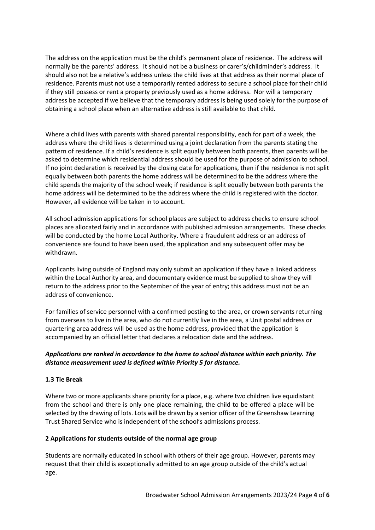The address on the application must be the child's permanent place of residence. The address will normally be the parents' address. It should not be a business or carer's/childminder's address. It should also not be a relative's address unless the child lives at that address as their normal place of residence. Parents must not use a temporarily rented address to secure a school place for their child if they still possess or rent a property previously used as a home address. Nor will a temporary address be accepted if we believe that the temporary address is being used solely for the purpose of obtaining a school place when an alternative address is still available to that child.

Where a child lives with parents with shared parental responsibility, each for part of a week, the address where the child lives is determined using a joint declaration from the parents stating the pattern of residence. If a child's residence is split equally between both parents, then parents will be asked to determine which residential address should be used for the purpose of admission to school. If no joint declaration is received by the closing date for applications, then if the residence is not split equally between both parents the home address will be determined to be the address where the child spends the majority of the school week; if residence is split equally between both parents the home address will be determined to be the address where the child is registered with the doctor. However, all evidence will be taken in to account.

All school admission applications for school places are subject to address checks to ensure school places are allocated fairly and in accordance with published admission arrangements. These checks will be conducted by the home Local Authority. Where a fraudulent address or an address of convenience are found to have been used, the application and any subsequent offer may be withdrawn.

Applicants living outside of England may only submit an application if they have a linked address within the Local Authority area, and documentary evidence must be supplied to show they will return to the address prior to the September of the year of entry; this address must not be an address of convenience.

For families of service personnel with a confirmed posting to the area, or crown servants returning from overseas to live in the area, who do not currently live in the area, a Unit postal address or quartering area address will be used as the home address, provided that the application is accompanied by an official letter that declares a relocation date and the address.

# *Applications are ranked in accordance to the home to school distance within each priority. The distance measurement used is defined within Priority 5 for distance.*

#### **1.3 Tie Break**

Where two or more applicants share priority for a place, e.g. where two children live equidistant from the school and there is only one place remaining, the child to be offered a place will be selected by the drawing of lots. Lots will be drawn by a senior officer of the Greenshaw Learning Trust Shared Service who is independent of the school's admissions process.

#### **2 Applications for students outside of the normal age group**

Students are normally educated in school with others of their age group. However, parents may request that their child is exceptionally admitted to an age group outside of the child's actual age.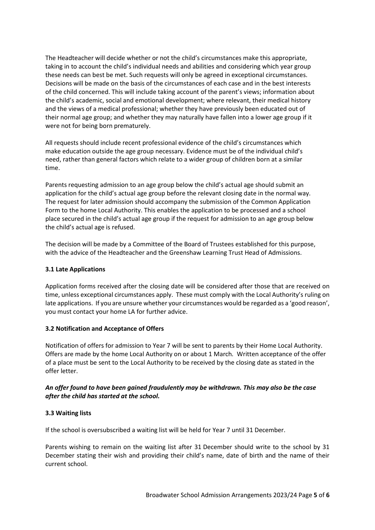The Headteacher will decide whether or not the child's circumstances make this appropriate, taking in to account the child's individual needs and abilities and considering which year group these needs can best be met. Such requests will only be agreed in exceptional circumstances. Decisions will be made on the basis of the circumstances of each case and in the best interests of the child concerned. This will include taking account of the parent's views; information about the child's academic, social and emotional development; where relevant, their medical history and the views of a medical professional; whether they have previously been educated out of their normal age group; and whether they may naturally have fallen into a lower age group if it were not for being born prematurely.

All requests should include recent professional evidence of the child's circumstances which make education outside the age group necessary. Evidence must be of the individual child's need, rather than general factors which relate to a wider group of children born at a similar time.

Parents requesting admission to an age group below the child's actual age should submit an application for the child's actual age group before the relevant closing date in the normal way. The request for later admission should accompany the submission of the Common Application Form to the home Local Authority. This enables the application to be processed and a school place secured in the child's actual age group if the request for admission to an age group below the child's actual age is refused.

The decision will be made by a Committee of the Board of Trustees established for this purpose, with the advice of the Headteacher and the Greenshaw Learning Trust Head of Admissions.

#### **3.1 Late Applications**

Application forms received after the closing date will be considered after those that are received on time, unless exceptional circumstances apply. These must comply with the Local Authority's ruling on late applications. If you are unsure whether your circumstances would be regarded as a 'good reason', you must contact your home LA for further advice.

# **3.2 Notification and Acceptance of Offers**

Notification of offers for admission to Year 7 will be sent to parents by their Home Local Authority. Offers are made by the home Local Authority on or about 1 March*.* Written acceptance of the offer of a place must be sent to the Local Authority to be received by the closing date as stated in the offer letter.

## *An offer found to have been gained fraudulently may be withdrawn. This may also be the case after the child has started at the school.*

# **3.3 Waiting lists**

If the school is oversubscribed a waiting list will be held for Year 7 until 31 December.

Parents wishing to remain on the waiting list after 31 December should write to the school by 31 December stating their wish and providing their child's name, date of birth and the name of their current school.